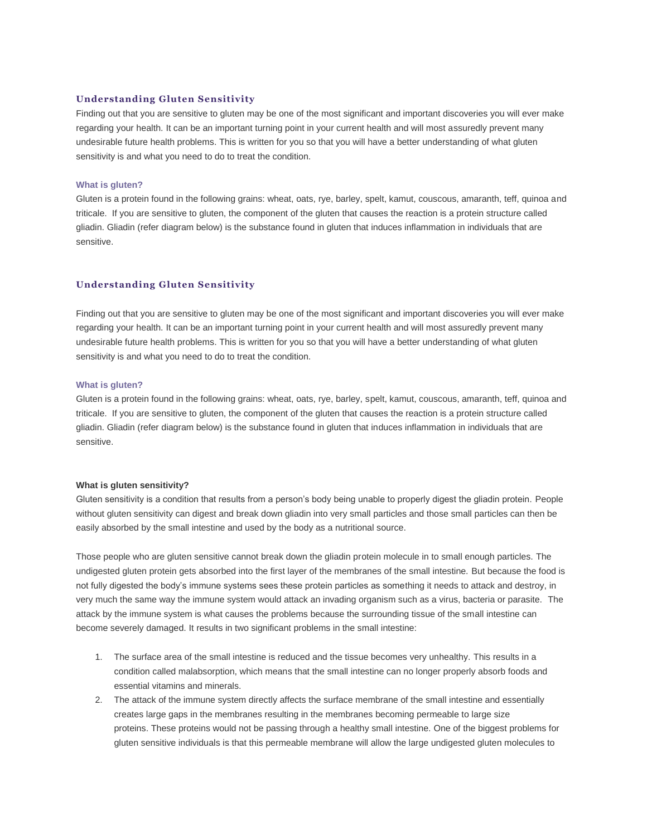# **Understanding Gluten Sensitivity**

Finding out that you are sensitive to gluten may be one of the most significant and important discoveries you will ever make regarding your health. It can be an important turning point in your current health and will most assuredly prevent many undesirable future health problems. This is written for you so that you will have a better understanding of what gluten sensitivity is and what you need to do to treat the condition.

# **What is gluten?**

Gluten is a protein found in the following grains: wheat, oats, rye, barley, spelt, kamut, couscous, amaranth, teff, quinoa and triticale. If you are sensitive to gluten, the component of the gluten that causes the reaction is a protein structure called gliadin. Gliadin (refer diagram below) is the substance found in gluten that induces inflammation in individuals that are sensitive.

# **Understanding Gluten Sensitivity**

Finding out that you are sensitive to gluten may be one of the most significant and important discoveries you will ever make regarding your health. It can be an important turning point in your current health and will most assuredly prevent many undesirable future health problems. This is written for you so that you will have a better understanding of what gluten sensitivity is and what you need to do to treat the condition.

### **What is gluten?**

Gluten is a protein found in the following grains: wheat, oats, rye, barley, spelt, kamut, couscous, amaranth, teff, quinoa and triticale. If you are sensitive to gluten, the component of the gluten that causes the reaction is a protein structure called gliadin. Gliadin (refer diagram below) is the substance found in gluten that induces inflammation in individuals that are sensitive.

#### **What is gluten sensitivity?**

Gluten sensitivity is a condition that results from a person's body being unable to properly digest the gliadin protein. People without gluten sensitivity can digest and break down gliadin into very small particles and those small particles can then be easily absorbed by the small intestine and used by the body as a nutritional source.

Those people who are gluten sensitive cannot break down the gliadin protein molecule in to small enough particles. The undigested gluten protein gets absorbed into the first layer of the membranes of the small intestine. But because the food is not fully digested the body's immune systems sees these protein particles as something it needs to attack and destroy, in very much the same way the immune system would attack an invading organism such as a virus, bacteria or parasite. The attack by the immune system is what causes the problems because the surrounding tissue of the small intestine can become severely damaged. It results in two significant problems in the small intestine:

- 1. The surface area of the small intestine is reduced and the tissue becomes very unhealthy. This results in a condition called malabsorption, which means that the small intestine can no longer properly absorb foods and essential vitamins and minerals.
- 2. The attack of the immune system directly affects the surface membrane of the small intestine and essentially creates large gaps in the membranes resulting in the membranes becoming permeable to large size proteins. These proteins would not be passing through a healthy small intestine. One of the biggest problems for gluten sensitive individuals is that this permeable membrane will allow the large undigested gluten molecules to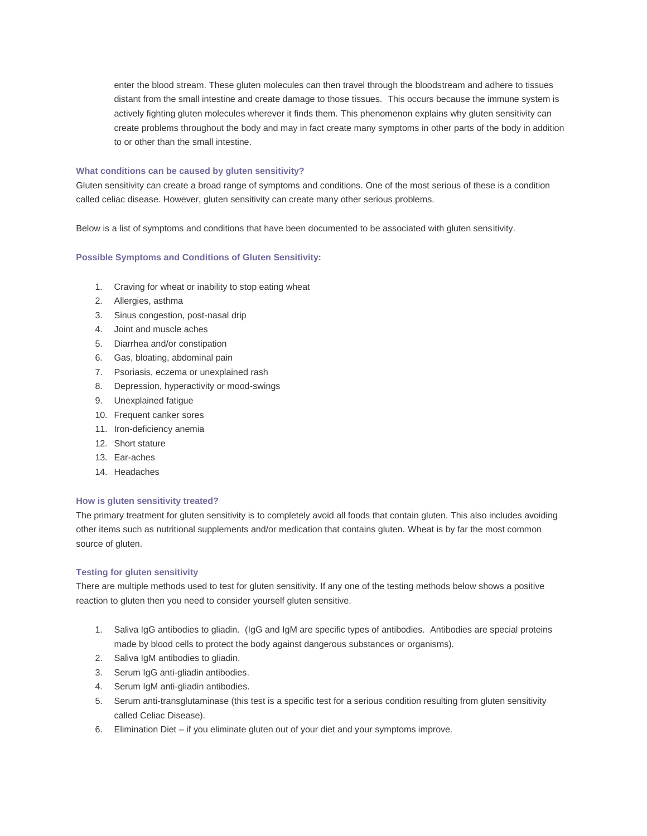enter the blood stream. These gluten molecules can then travel through the bloodstream and adhere to tissues distant from the small intestine and create damage to those tissues. This occurs because the immune system is actively fighting gluten molecules wherever it finds them. This phenomenon explains why gluten sensitivity can create problems throughout the body and may in fact create many symptoms in other parts of the body in addition to or other than the small intestine.

### **What conditions can be caused by gluten sensitivity?**

Gluten sensitivity can create a broad range of symptoms and conditions. One of the most serious of these is a condition called celiac disease. However, gluten sensitivity can create many other serious problems.

Below is a list of symptoms and conditions that have been documented to be associated with gluten sensitivity.

## **Possible Symptoms and Conditions of Gluten Sensitivity:**

- 1. Craving for wheat or inability to stop eating wheat
- 2. Allergies, asthma
- 3. Sinus congestion, post-nasal drip
- 4. Joint and muscle aches
- 5. Diarrhea and/or constipation
- 6. Gas, bloating, abdominal pain
- 7. Psoriasis, eczema or unexplained rash
- 8. Depression, hyperactivity or mood-swings
- 9. Unexplained fatigue
- 10. Frequent canker sores
- 11. Iron-deficiency anemia
- 12. Short stature
- 13. Ear-aches
- 14. Headaches

### **How is gluten sensitivity treated?**

The primary treatment for gluten sensitivity is to completely avoid all foods that contain gluten. This also includes avoiding other items such as nutritional supplements and/or medication that contains gluten. Wheat is by far the most common source of gluten.

#### **Testing for gluten sensitivity**

There are multiple methods used to test for gluten sensitivity. If any one of the testing methods below shows a positive reaction to gluten then you need to consider yourself gluten sensitive.

- 1. Saliva IgG antibodies to gliadin. (IgG and IgM are specific types of antibodies. Antibodies are special proteins made by blood cells to protect the body against dangerous substances or organisms).
- 2. Saliva IgM antibodies to gliadin.
- 3. Serum IgG anti-gliadin antibodies.
- 4. Serum IgM anti-gliadin antibodies.
- 5. Serum anti-transglutaminase (this test is a specific test for a serious condition resulting from gluten sensitivity called Celiac Disease).
- 6. Elimination Diet if you eliminate gluten out of your diet and your symptoms improve.